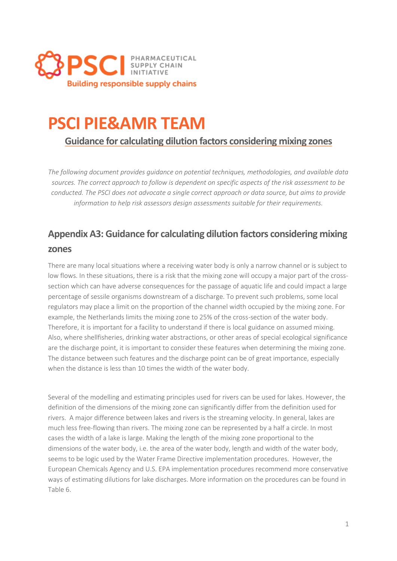

# **PSCI PIE&AMR TEAM**

**Guidance for calculating dilution factors considering mixing zones**

*The following document provides guidance on potential techniques, methodologies, and available data sources. The correct approach to follow is dependent on specific aspects of the risk assessment to be conducted. The PSCI does not advocate a single correct approach or data source, but aims to provide information to help risk assessors design assessments suitable for their requirements.*

## **Appendix A3: Guidance for calculating dilution factors considering mixing zones**

There are many local situations where a receiving water body is only a narrow channel or is subject to low flows. In these situations, there is a risk that the mixing zone will occupy a major part of the crosssection which can have adverse consequences for the passage of aquatic life and could impact a large percentage of sessile organisms downstream of a discharge. To prevent such problems, some local regulators may place a limit on the proportion of the channel width occupied by the mixing zone. For example, the Netherlands limits the mixing zone to 25% of the cross-section of the water body. Therefore, it is important for a facility to understand if there is local guidance on assumed mixing. Also, where shellfisheries, drinking water abstractions, or other areas of special ecological significance are the discharge point, it is important to consider these features when determining the mixing zone. The distance between such features and the discharge point can be of great importance, especially when the distance is less than 10 times the width of the water body.

Several of the modelling and estimating principles used for rivers can be used for lakes. However, the definition of the dimensions of the mixing zone can significantly differ from the definition used for rivers. A major difference between lakes and rivers is the streaming velocity. In general, lakes are much less free-flowing than rivers. The mixing zone can be represented by a half a circle. In most cases the width of a lake is large. Making the length of the mixing zone proportional to the dimensions of the water body, i.e. the area of the water body, length and width of the water body, seems to be logic used by the Water Frame Directive implementation procedures. However, the European Chemicals Agency and U.S. EPA implementation procedures recommend more conservative ways of estimating dilutions for lake discharges. More information on the procedures can be found in Table 6.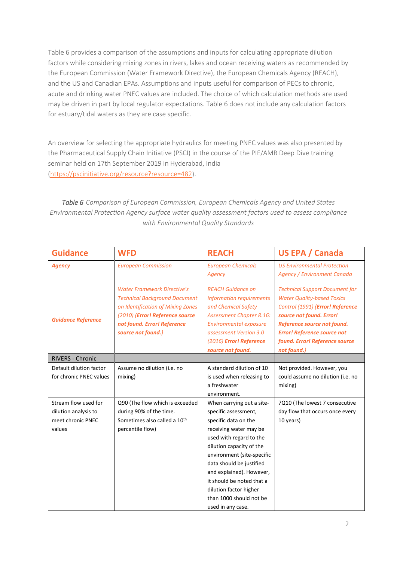Table 6 provides a comparison of the assumptions and inputs for calculating appropriate dilution factors while considering mixing zones in rivers, lakes and ocean receiving waters as recommended by the European Commission (Water Framework Directive), the European Chemicals Agency (REACH), and the US and Canadian EPAs. Assumptions and inputs useful for comparison of PECs to chronic, acute and drinking water PNEC values are included. The choice of which calculation methods are used may be driven in part by local regulator expectations. Table 6 does not include any calculation factors for estuary/tidal waters as they are case specific.

An overview for selecting the appropriate hydraulics for meeting PNEC values was also presented by the Pharmaceutical Supply Chain Initiative (PSCI) in the course of the PIE/AMR Deep Dive training seminar held on 17th September 2019 in Hyderabad, India [\(https://pscinitiative.org/resource?resource=482\)](https://pscinitiative.org/resource?resource=482).

*Table 6 Comparison of European Commission, European Chemicals Agency and United States Environmental Protection Agency surface water quality assessment factors used to assess compliance with Environmental Quality Standards*

| <b>Guidance</b>           | <b>WFD</b>                               | <b>REACH</b>                    | <b>US EPA / Canada</b>                |
|---------------------------|------------------------------------------|---------------------------------|---------------------------------------|
| <b>Agency</b>             | <b>European Commission</b>               | <b>European Chemicals</b>       | <b>US Environmental Protection</b>    |
|                           |                                          | Agency                          | Agency / Environment Canada           |
|                           | <b>Water Framework Directive's</b>       | <b>REACH Guidance on</b>        | <b>Technical Support Document for</b> |
|                           | <b>Technical Background Document</b>     | information requirements        | <b>Water Quality-based Toxics</b>     |
|                           | on Identification of Mixing Zones        | and Chemical Safety             | Control (1991) (Error! Reference      |
| <b>Guidance Reference</b> | (2010) (Error! Reference source          | <b>Assessment Chapter R.16:</b> | source not found. Error!              |
|                           | not found. Error! Reference              | <b>Environmental exposure</b>   | Reference source not found.           |
|                           | source not found.)                       | assessment Version 3.0          | <b>Error! Reference source not</b>    |
|                           |                                          | (2016) Error! Reference         | found. Error! Reference source        |
|                           |                                          | source not found.               | not found.)                           |
| RIVERS - Chronic          |                                          |                                 |                                       |
| Default dilution factor   | Assume no dilution (i.e. no              | A standard dilution of 10       | Not provided. However, you            |
| for chronic PNEC values   | mixing)                                  | is used when releasing to       | could assume no dilution (i.e. no     |
|                           |                                          | a freshwater                    | mixing)                               |
|                           |                                          | environment.                    |                                       |
| Stream flow used for      | Q90 (The flow which is exceeded          | When carrying out a site-       | 7Q10 (The lowest 7 consecutive        |
| dilution analysis to      | during 90% of the time.                  | specific assessment,            | day flow that occurs once every       |
| meet chronic PNEC         | Sometimes also called a 10 <sup>th</sup> | specific data on the            | 10 years)                             |
| values                    | percentile flow)                         | receiving water may be          |                                       |
|                           |                                          | used with regard to the         |                                       |
|                           |                                          | dilution capacity of the        |                                       |
|                           |                                          | environment (site-specific      |                                       |
|                           |                                          | data should be justified        |                                       |
|                           |                                          | and explained). However,        |                                       |
|                           |                                          | it should be noted that a       |                                       |
|                           |                                          | dilution factor higher          |                                       |
|                           |                                          | than 1000 should not be         |                                       |
|                           |                                          | used in any case.               |                                       |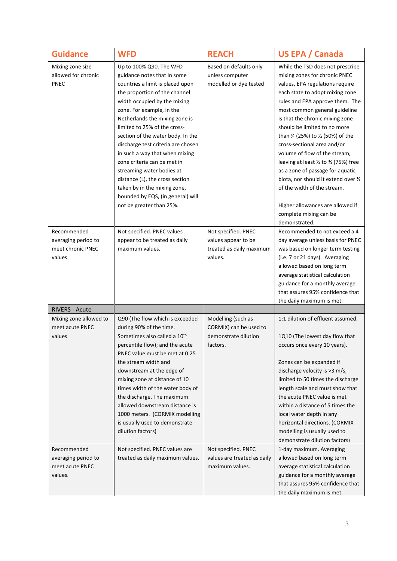| <b>Guidance</b>                                                   | <b>WFD</b>                                                                                                                                                                                                                                                                                                                                                                                                                                                                                                                                                              | <b>REACH</b>                                                                      | <b>US EPA / Canada</b>                                                                                                                                                                                                                                                                                                                                                                                                                                                                                                                                                                                                                       |
|-------------------------------------------------------------------|-------------------------------------------------------------------------------------------------------------------------------------------------------------------------------------------------------------------------------------------------------------------------------------------------------------------------------------------------------------------------------------------------------------------------------------------------------------------------------------------------------------------------------------------------------------------------|-----------------------------------------------------------------------------------|----------------------------------------------------------------------------------------------------------------------------------------------------------------------------------------------------------------------------------------------------------------------------------------------------------------------------------------------------------------------------------------------------------------------------------------------------------------------------------------------------------------------------------------------------------------------------------------------------------------------------------------------|
| Mixing zone size<br>allowed for chronic<br><b>PNEC</b>            | Up to 100% Q90. The WFD<br>guidance notes that In some<br>countries a limit is placed upon<br>the proportion of the channel<br>width occupied by the mixing<br>zone. For example, in the<br>Netherlands the mixing zone is<br>limited to 25% of the cross-<br>section of the water body. In the<br>discharge test criteria are chosen<br>in such a way that when mixing<br>zone criteria can be met in<br>streaming water bodies at<br>distance (L), the cross section<br>taken by in the mixing zone,<br>bounded by EQS, (in general) will<br>not be greater than 25%. | Based on defaults only<br>unless computer<br>modelled or dye tested               | While the TSD does not prescribe<br>mixing zones for chronic PNEC<br>values, EPA regulations require<br>each state to adopt mixing zone<br>rules and EPA approve them. The<br>most common general guideline<br>is that the chronic mixing zone<br>should be limited to no more<br>than 1/4 (25%) to 1/2 (50%) of the<br>cross-sectional area and/or<br>volume of flow of the stream,<br>leaving at least $\frac{1}{2}$ to $\frac{3}{4}$ (75%) free<br>as a zone of passage for aquatic<br>biota, nor should it extend over 1/2<br>of the width of the stream.<br>Higher allowances are allowed if<br>complete mixing can be<br>demonstrated. |
| Recommended<br>averaging period to<br>meet chronic PNEC<br>values | Not specified. PNEC values<br>appear to be treated as daily<br>maximum values.                                                                                                                                                                                                                                                                                                                                                                                                                                                                                          | Not specified. PNEC<br>values appear to be<br>treated as daily maximum<br>values. | Recommended to not exceed a 4<br>day average unless basis for PNEC<br>was based on longer term testing<br>(i.e. 7 or 21 days). Averaging<br>allowed based on long term<br>average statistical calculation<br>guidance for a monthly average<br>that assures 95% confidence that<br>the daily maximum is met.                                                                                                                                                                                                                                                                                                                                 |
| <b>RIVERS - Acute</b>                                             |                                                                                                                                                                                                                                                                                                                                                                                                                                                                                                                                                                         |                                                                                   |                                                                                                                                                                                                                                                                                                                                                                                                                                                                                                                                                                                                                                              |
| Mixing zone allowed to<br>meet acute PNEC<br>values               | Q90 (The flow which is exceeded<br>during 90% of the time.<br>Sometimes also called a 10th<br>percentile flow); and the acute<br>PNEC value must be met at 0.25<br>the stream width and<br>downstream at the edge of<br>mixing zone at distance of 10<br>times width of the water body of<br>the discharge. The maximum<br>allowed downstream distance is<br>1000 meters. (CORMIX modelling<br>is usually used to demonstrate<br>dilution factors)                                                                                                                      | Modelling (such as<br>CORMIX) can be used to<br>demonstrate dilution<br>factors.  | 1:1 dilution of effluent assumed.<br>1Q10 (The lowest day flow that<br>occurs once every 10 years).<br>Zones can be expanded if<br>discharge velocity is >3 m/s,<br>limited to 50 times the discharge<br>length scale and must show that<br>the acute PNEC value is met<br>within a distance of 5 times the<br>local water depth in any<br>horizontal directions. (CORMIX<br>modelling is usually used to<br>demonstrate dilution factors)                                                                                                                                                                                                   |
| Recommended<br>averaging period to<br>meet acute PNEC<br>values.  | Not specified. PNEC values are<br>treated as daily maximum values.                                                                                                                                                                                                                                                                                                                                                                                                                                                                                                      | Not specified. PNEC<br>values are treated as daily<br>maximum values.             | 1-day maximum. Averaging<br>allowed based on long term<br>average statistical calculation<br>guidance for a monthly average<br>that assures 95% confidence that<br>the daily maximum is met.                                                                                                                                                                                                                                                                                                                                                                                                                                                 |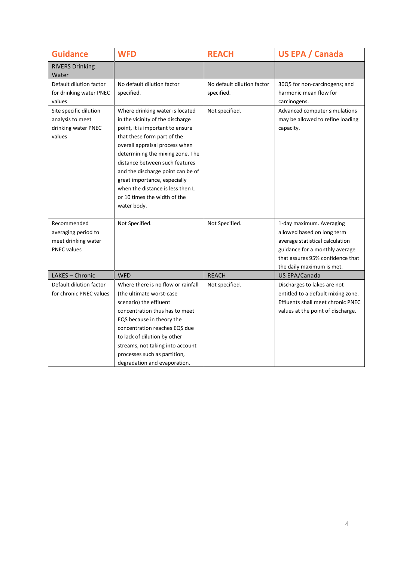| <b>Guidance</b>                                                                 | <b>WFD</b>                                                                                                                                                                                                                                                                                                                                                                                             | <b>REACH</b>                             | <b>US EPA / Canada</b>                                                                                                                                                                       |
|---------------------------------------------------------------------------------|--------------------------------------------------------------------------------------------------------------------------------------------------------------------------------------------------------------------------------------------------------------------------------------------------------------------------------------------------------------------------------------------------------|------------------------------------------|----------------------------------------------------------------------------------------------------------------------------------------------------------------------------------------------|
| <b>RIVERS Drinking</b><br>Water                                                 |                                                                                                                                                                                                                                                                                                                                                                                                        |                                          |                                                                                                                                                                                              |
| Default dilution factor<br>for drinking water PNEC<br>values                    | No default dilution factor<br>specified.                                                                                                                                                                                                                                                                                                                                                               | No default dilution factor<br>specified. | 30Q5 for non-carcinogens; and<br>harmonic mean flow for<br>carcinogens.                                                                                                                      |
| Site specific dilution<br>analysis to meet<br>drinking water PNEC<br>values     | Where drinking water is located<br>in the vicinity of the discharge<br>point, it is important to ensure<br>that these form part of the<br>overall appraisal process when<br>determining the mixing zone. The<br>distance between such features<br>and the discharge point can be of<br>great importance, especially<br>when the distance is less then L<br>or 10 times the width of the<br>water body. | Not specified.                           | Advanced computer simulations<br>may be allowed to refine loading<br>capacity.                                                                                                               |
| Recommended<br>averaging period to<br>meet drinking water<br><b>PNEC</b> values | Not Specified.                                                                                                                                                                                                                                                                                                                                                                                         | Not Specified.                           | 1-day maximum. Averaging<br>allowed based on long term<br>average statistical calculation<br>guidance for a monthly average<br>that assures 95% confidence that<br>the daily maximum is met. |
| LAKES - Chronic                                                                 | <b>WFD</b>                                                                                                                                                                                                                                                                                                                                                                                             | <b>REACH</b>                             | US EPA/Canada                                                                                                                                                                                |
| Default dilution factor<br>for chronic PNEC values                              | Where there is no flow or rainfall<br>(the ultimate worst-case)<br>scenario) the effluent<br>concentration thus has to meet<br>EQS because in theory the<br>concentration reaches EQS due<br>to lack of dilution by other<br>streams, not taking into account<br>processes such as partition,<br>degradation and evaporation.                                                                          | Not specified.                           | Discharges to lakes are not<br>entitled to a default mixing zone.<br>Effluents shall meet chronic PNEC<br>values at the point of discharge.                                                  |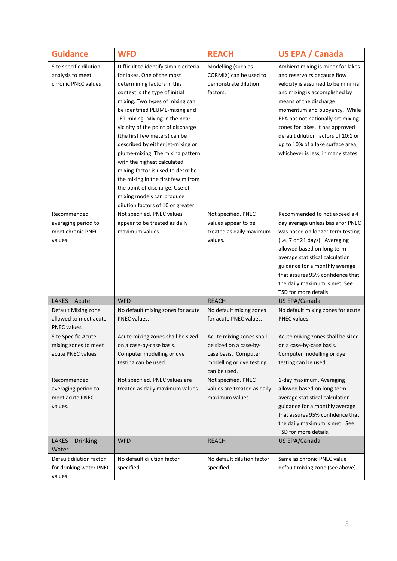| <b>Guidance</b>                                                    | <b>WFD</b>                                                                                                                                                                                                                                                                                                                                                                                                                                                                                                                                                                                                 | <b>REACH</b>                                                                                                           | <b>US EPA / Canada</b>                                                                                                                                                                                                                                                                                                                                                                      |
|--------------------------------------------------------------------|------------------------------------------------------------------------------------------------------------------------------------------------------------------------------------------------------------------------------------------------------------------------------------------------------------------------------------------------------------------------------------------------------------------------------------------------------------------------------------------------------------------------------------------------------------------------------------------------------------|------------------------------------------------------------------------------------------------------------------------|---------------------------------------------------------------------------------------------------------------------------------------------------------------------------------------------------------------------------------------------------------------------------------------------------------------------------------------------------------------------------------------------|
| Site specific dilution<br>analysis to meet<br>chronic PNEC values  | Difficult to identify simple criteria<br>for lakes. One of the most<br>determining factors in this<br>context is the type of initial<br>mixing. Two types of mixing can<br>be identified PLUME-mixing and<br>JET-mixing. Mixing in the near<br>vicinity of the point of discharge<br>(the first few meters) can be<br>described by either jet-mixing or<br>plume-mixing. The mixing pattern<br>with the highest calculated<br>mixing-factor is used to describe<br>the mixing in the first few m from<br>the point of discharge. Use of<br>mixing models can produce<br>dilution factors of 10 or greater. | Modelling (such as<br>CORMIX) can be used to<br>demonstrate dilution<br>factors.                                       | Ambient mixing is minor for lakes<br>and reservoirs because flow<br>velocity is assumed to be minimal<br>and mixing is accomplished by<br>means of the discharge<br>momentum and buoyancy. While<br>EPA has not nationally set mixing<br>zones for lakes, it has approved<br>default dilution factors of 10:1 or<br>up to 10% of a lake surface area,<br>whichever is less, in many states. |
| Recommended<br>averaging period to<br>meet chronic PNEC<br>values  | Not specified. PNEC values<br>appear to be treated as daily<br>maximum values.                                                                                                                                                                                                                                                                                                                                                                                                                                                                                                                             | Not specified. PNEC<br>values appear to be<br>treated as daily maximum<br>values.                                      | Recommended to not exceed a 4<br>day average unless basis for PNEC<br>was based on longer term testing<br>(i.e. 7 or 21 days). Averaging<br>allowed based on long term<br>average statistical calculation<br>guidance for a monthly average<br>that assures 95% confidence that<br>the daily maximum is met. See<br>TSD for more details                                                    |
| LAKES - Acute                                                      | <b>WFD</b>                                                                                                                                                                                                                                                                                                                                                                                                                                                                                                                                                                                                 | <b>REACH</b>                                                                                                           | US EPA/Canada                                                                                                                                                                                                                                                                                                                                                                               |
| Default Mixing zone<br>allowed to meet acute<br><b>PNEC values</b> | No default mixing zones for acute<br>PNEC values.                                                                                                                                                                                                                                                                                                                                                                                                                                                                                                                                                          | No default mixing zones<br>for acute PNEC values.                                                                      | No default mixing zones for acute<br>PNEC values.                                                                                                                                                                                                                                                                                                                                           |
| Site Specific Acute<br>mixing zones to meet<br>acute PNEC values   | Acute mixing zones shall be sized<br>on a case-by-case basis.<br>Computer modelling or dye<br>testing can be used.                                                                                                                                                                                                                                                                                                                                                                                                                                                                                         | Acute mixing zones shall<br>be sized on a case-by-<br>case basis. Computer<br>modelling or dye testing<br>can be used. | Acute mixing zones shall be sized<br>on a case-by-case basis.<br>Computer modelling or dye<br>testing can be used.                                                                                                                                                                                                                                                                          |
| Recommended<br>averaging period to<br>meet acute PNEC<br>values.   | Not specified. PNEC values are<br>treated as daily maximum values.                                                                                                                                                                                                                                                                                                                                                                                                                                                                                                                                         | Not specified. PNEC<br>values are treated as daily<br>maximum values.                                                  | 1-day maximum. Averaging<br>allowed based on long term<br>average statistical calculation<br>guidance for a monthly average<br>that assures 95% confidence that<br>the daily maximum is met. See<br>TSD for more details.                                                                                                                                                                   |
| LAKES - Drinking                                                   | <b>WFD</b>                                                                                                                                                                                                                                                                                                                                                                                                                                                                                                                                                                                                 | <b>REACH</b>                                                                                                           | US EPA/Canada                                                                                                                                                                                                                                                                                                                                                                               |
| Water<br>Default dilution factor                                   |                                                                                                                                                                                                                                                                                                                                                                                                                                                                                                                                                                                                            | No default dilution factor                                                                                             | Same as chronic PNEC value                                                                                                                                                                                                                                                                                                                                                                  |
| for drinking water PNEC<br>values                                  | No default dilution factor<br>specified.                                                                                                                                                                                                                                                                                                                                                                                                                                                                                                                                                                   | specified.                                                                                                             | default mixing zone (see above).                                                                                                                                                                                                                                                                                                                                                            |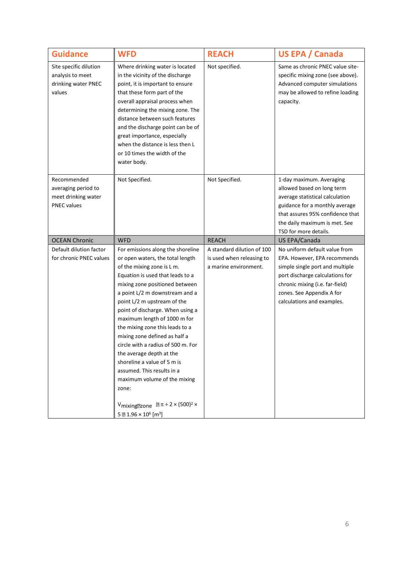| <b>Guidance</b>                                                                 | <b>WFD</b>                                                                                                                                                                                                                                                                                                                                                                                                                                                                                                                                                                                                                                                   | <b>REACH</b>                                                                     | <b>US EPA / Canada</b>                                                                                                                                                                                                            |
|---------------------------------------------------------------------------------|--------------------------------------------------------------------------------------------------------------------------------------------------------------------------------------------------------------------------------------------------------------------------------------------------------------------------------------------------------------------------------------------------------------------------------------------------------------------------------------------------------------------------------------------------------------------------------------------------------------------------------------------------------------|----------------------------------------------------------------------------------|-----------------------------------------------------------------------------------------------------------------------------------------------------------------------------------------------------------------------------------|
| Site specific dilution<br>analysis to meet<br>drinking water PNEC<br>values     | Where drinking water is located<br>in the vicinity of the discharge<br>point, it is important to ensure<br>that these form part of the<br>overall appraisal process when<br>determining the mixing zone. The<br>distance between such features<br>and the discharge point can be of<br>great importance, especially<br>when the distance is less then L<br>or 10 times the width of the<br>water body.                                                                                                                                                                                                                                                       | Not specified.                                                                   | Same as chronic PNEC value site-<br>specific mixing zone (see above).<br>Advanced computer simulations<br>may be allowed to refine loading<br>capacity.                                                                           |
| Recommended<br>averaging period to<br>meet drinking water<br><b>PNEC values</b> | Not Specified.                                                                                                                                                                                                                                                                                                                                                                                                                                                                                                                                                                                                                                               | Not Specified.                                                                   | 1-day maximum. Averaging<br>allowed based on long term<br>average statistical calculation<br>guidance for a monthly average<br>that assures 95% confidence that<br>the daily maximum is met. See<br>TSD for more details.         |
| <b>OCEAN Chronic</b>                                                            | <b>WFD</b>                                                                                                                                                                                                                                                                                                                                                                                                                                                                                                                                                                                                                                                   | <b>REACH</b>                                                                     | US EPA/Canada                                                                                                                                                                                                                     |
| Default dilution factor<br>for chronic PNEC values                              | For emissions along the shoreline<br>or open waters, the total length<br>of the mixing zone is L m.<br>Equation is used that leads to a<br>mixing zone positioned between<br>a point L/2 m downstream and a<br>point L/2 m upstream of the<br>point of discharge. When using a<br>maximum length of 1000 m for<br>the mixing zone this leads to a<br>mixing zone defined as half a<br>circle with a radius of 500 m. For<br>the average depth at the<br>shoreline a value of 5 m is<br>assumed. This results in a<br>maximum volume of the mixing<br>zone:<br>V <sub>mixing</sub><br>2x (500) <sup>2</sup> ×<br>5 2 1.96 × 10 <sup>6</sup> [m <sup>3</sup> ] | A standard dilution of 100<br>is used when releasing to<br>a marine environment. | No uniform default value from<br>EPA. However, EPA recommends<br>simple single port and multiple<br>port discharge calculations for<br>chronic mixing (i.e. far-field)<br>zones. See Appendix A for<br>calculations and examples. |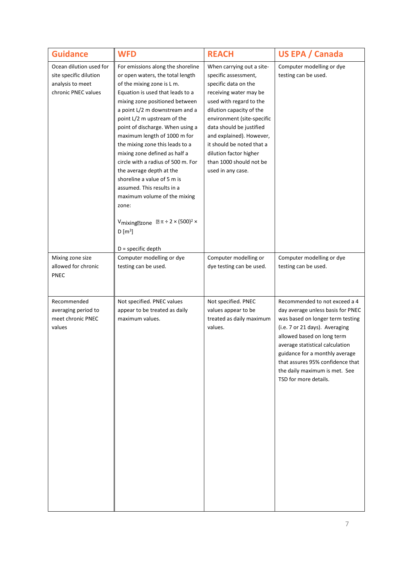| <b>Guidance</b>                                                                              | <b>WFD</b>                                                                                                                                                                                                                                                                                                                                                                                                                                                                                                                                                                                                                                                      | <b>REACH</b>                                                                                                                                                                                                                                                                                                                                            | US EPA / Canada                                                                                                                                                                                                                                                                                                                           |
|----------------------------------------------------------------------------------------------|-----------------------------------------------------------------------------------------------------------------------------------------------------------------------------------------------------------------------------------------------------------------------------------------------------------------------------------------------------------------------------------------------------------------------------------------------------------------------------------------------------------------------------------------------------------------------------------------------------------------------------------------------------------------|---------------------------------------------------------------------------------------------------------------------------------------------------------------------------------------------------------------------------------------------------------------------------------------------------------------------------------------------------------|-------------------------------------------------------------------------------------------------------------------------------------------------------------------------------------------------------------------------------------------------------------------------------------------------------------------------------------------|
| Ocean dilution used for<br>site specific dilution<br>analysis to meet<br>chronic PNEC values | For emissions along the shoreline<br>or open waters, the total length<br>of the mixing zone is L m.<br>Equation is used that leads to a<br>mixing zone positioned between<br>a point L/2 m downstream and a<br>point L/2 m upstream of the<br>point of discharge. When using a<br>maximum length of 1000 m for<br>the mixing zone this leads to a<br>mixing zone defined as half a<br>circle with a radius of 500 m. For<br>the average depth at the<br>shoreline a value of 5 m is<br>assumed. This results in a<br>maximum volume of the mixing<br>zone:<br>Vmixing<br>2zone $\boxed{2}$ $\pi \div 2 \times (500)^2 \times$<br>$D[m^3]$<br>D = specific depth | When carrying out a site-<br>specific assessment,<br>specific data on the<br>receiving water may be<br>used with regard to the<br>dilution capacity of the<br>environment (site-specific<br>data should be justified<br>and explained). However,<br>it should be noted that a<br>dilution factor higher<br>than 1000 should not be<br>used in any case. | Computer modelling or dye<br>testing can be used.                                                                                                                                                                                                                                                                                         |
| Mixing zone size<br>allowed for chronic<br><b>PNEC</b>                                       | Computer modelling or dye<br>testing can be used.                                                                                                                                                                                                                                                                                                                                                                                                                                                                                                                                                                                                               | Computer modelling or<br>dye testing can be used.                                                                                                                                                                                                                                                                                                       | Computer modelling or dye<br>testing can be used.                                                                                                                                                                                                                                                                                         |
| Recommended<br>averaging period to<br>meet chronic PNEC<br>values                            | Not specified. PNEC values<br>appear to be treated as daily<br>maximum values.                                                                                                                                                                                                                                                                                                                                                                                                                                                                                                                                                                                  | Not specified. PNEC<br>values appear to be<br>treated as daily maximum<br>values.                                                                                                                                                                                                                                                                       | Recommended to not exceed a 4<br>day average unless basis for PNEC<br>was based on longer term testing<br>(i.e. 7 or 21 days). Averaging<br>allowed based on long term<br>average statistical calculation<br>guidance for a monthly average<br>that assures 95% confidence that<br>the daily maximum is met. See<br>TSD for more details. |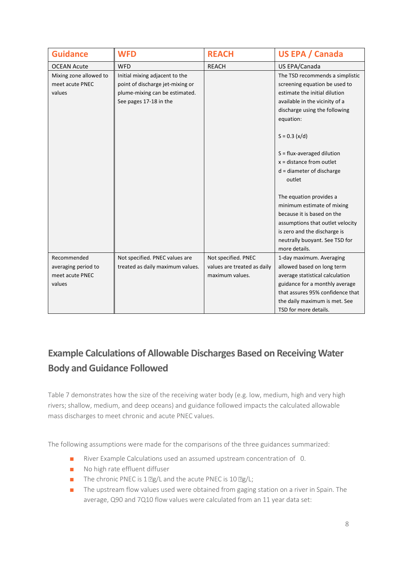| <b>Guidance</b>                           | <b>WFD</b>                                                         | <b>REACH</b>                | <b>US EPA / Canada</b>                                           |
|-------------------------------------------|--------------------------------------------------------------------|-----------------------------|------------------------------------------------------------------|
| <b>OCEAN Acute</b>                        | <b>WFD</b>                                                         | <b>REACH</b>                | US EPA/Canada                                                    |
| Mixing zone allowed to<br>meet acute PNEC | Initial mixing adjacent to the<br>point of discharge jet-mixing or |                             | The TSD recommends a simplistic<br>screening equation be used to |
| values                                    | plume-mixing can be estimated.                                     |                             | estimate the initial dilution                                    |
|                                           | See pages 17-18 in the                                             |                             | available in the vicinity of a                                   |
|                                           |                                                                    |                             | discharge using the following                                    |
|                                           |                                                                    |                             | equation:                                                        |
|                                           |                                                                    |                             | $S = 0.3 (x/d)$                                                  |
|                                           |                                                                    |                             | $S = flux$ -averaged dilution                                    |
|                                           |                                                                    |                             | $x = distance from outlet$                                       |
|                                           |                                                                    |                             | $d =$ diameter of discharge                                      |
|                                           |                                                                    |                             | outlet                                                           |
|                                           |                                                                    |                             |                                                                  |
|                                           |                                                                    |                             | The equation provides a                                          |
|                                           |                                                                    |                             | minimum estimate of mixing                                       |
|                                           |                                                                    |                             | because it is based on the                                       |
|                                           |                                                                    |                             | assumptions that outlet velocity                                 |
|                                           |                                                                    |                             | is zero and the discharge is                                     |
|                                           |                                                                    |                             | neutrally buoyant. See TSD for                                   |
|                                           |                                                                    |                             | more details.                                                    |
| Recommended                               | Not specified. PNEC values are                                     | Not specified. PNEC         | 1-day maximum. Averaging                                         |
| averaging period to                       | treated as daily maximum values.                                   | values are treated as daily | allowed based on long term                                       |
| meet acute PNEC                           |                                                                    | maximum values.             | average statistical calculation                                  |
| values                                    |                                                                    |                             | guidance for a monthly average                                   |
|                                           |                                                                    |                             | that assures 95% confidence that                                 |
|                                           |                                                                    |                             | the daily maximum is met. See                                    |
|                                           |                                                                    |                             | TSD for more details.                                            |

## **Example Calculations of Allowable Discharges Based on Receiving Water Body and Guidance Followed**

Table 7 demonstrates how the size of the receiving water body (e.g. low, medium, high and very high rivers; shallow, medium, and deep oceans) and guidance followed impacts the calculated allowable mass discharges to meet chronic and acute PNEC values.

The following assumptions were made for the comparisons of the three guidances summarized:

- River Example Calculations used an assumed upstream concentration of 0.
- No high rate effluent diffuser
- The chronic PNEC is 1 ag/L and the acute PNEC is 10 ag/L;
- The upstream flow values used were obtained from gaging station on a river in Spain. The average, Q90 and 7Q10 flow values were calculated from an 11 year data set: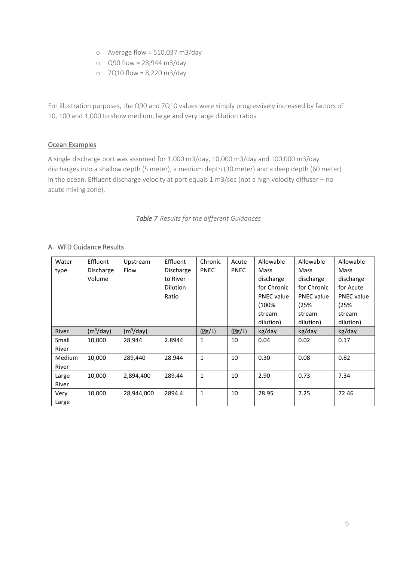- o Average flow = 510,037 m3/day
- o Q90 flow = 28,944 m3/day
- o 7Q10 flow = 8,220 m3/day

For illustration purposes, the Q90 and 7Q10 values were simply progressively increased by factors of 10, 100 and 1,000 to show medium, large and very large dilution ratios.

#### Ocean Examples

A single discharge port was assumed for 1,000 m3/day, 10,000 m3/day and 100,000 m3/day discharges into a shallow depth (5 meter), a medium depth (30 meter) and a deep depth (60 meter) in the ocean. Effluent discharge velocity at port equals 1 m3/sec (not a high velocity diffuser – no acute mixing zone).

*Table 7 Results for the different Guidances*

| Water  | Effluent              | Upstream              | Effluent        | Chronic         | Acute                       | Allowable         | Allowable         | Allowable         |
|--------|-----------------------|-----------------------|-----------------|-----------------|-----------------------------|-------------------|-------------------|-------------------|
| type   | Discharge             | Flow                  | Discharge       | <b>PNEC</b>     | <b>PNEC</b>                 | Mass              | Mass              | Mass              |
|        | Volume                |                       | to River        |                 |                             | discharge         | discharge         | discharge         |
|        |                       |                       | <b>Dilution</b> |                 |                             | for Chronic       | for Chronic       | for Acute         |
|        |                       |                       | Ratio           |                 |                             | <b>PNEC</b> value | <b>PNEC</b> value | <b>PNEC</b> value |
|        |                       |                       |                 |                 |                             | (100%             | (25%              | (25%              |
|        |                       |                       |                 |                 |                             | stream            | stream            | stream            |
|        |                       |                       |                 |                 |                             | dilution)         | dilution)         | dilution)         |
| River  | (m <sup>3</sup> /day) | (m <sup>3</sup> /day) |                 | $(\sqrt{2}g/L)$ | $\left(\frac{p}{2}L\right)$ | kg/day            | kg/day            | kg/day            |
| Small  | 10,000                | 28,944                | 2.8944          | $\mathbf{1}$    | 10                          | 0.04              | 0.02              | 0.17              |
| River  |                       |                       |                 |                 |                             |                   |                   |                   |
| Medium | 10,000                | 289,440               | 28.944          | $\mathbf{1}$    | 10                          | 0.30              | 0.08              | 0.82              |
| River  |                       |                       |                 |                 |                             |                   |                   |                   |
| Large  | 10,000                | 2,894,400             | 289.44          | $\mathbf{1}$    | 10                          | 2.90              | 0.73              | 7.34              |
| River  |                       |                       |                 |                 |                             |                   |                   |                   |
| Very   | 10,000                | 28,944,000            | 2894.4          | $\mathbf{1}$    | 10                          | 28.95             | 7.25              | 72.46             |
| Large  |                       |                       |                 |                 |                             |                   |                   |                   |

### A. WFD Guidance Results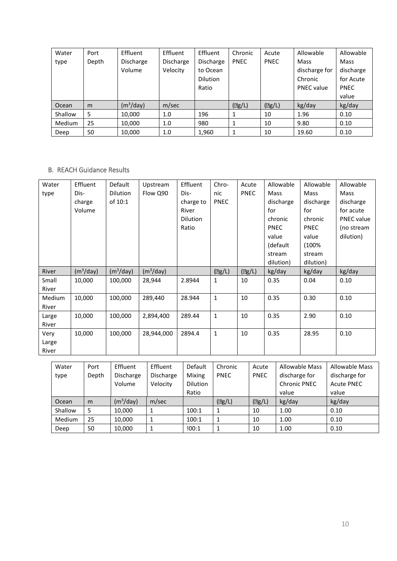| Water         | Port  | Effluent              | Effluent         | Effluent        | Chronic     | Acute                       | Allowable         | Allowable   |
|---------------|-------|-----------------------|------------------|-----------------|-------------|-----------------------------|-------------------|-------------|
| type          | Depth | <b>Discharge</b>      | <b>Discharge</b> | Discharge       | <b>PNEC</b> | <b>PNEC</b>                 | Mass              | Mass        |
|               |       | Volume                | Velocity         | to Ocean        |             |                             | discharge for     | discharge   |
|               |       |                       |                  | <b>Dilution</b> |             |                             | Chronic           | for Acute   |
|               |       |                       |                  | Ratio           |             |                             | <b>PNEC</b> value | <b>PNEC</b> |
|               |       |                       |                  |                 |             |                             |                   | value       |
| Ocean         | m     | (m <sup>3</sup> /day) | m/sec            |                 | (2g/L)      | $\left(\frac{p}{2}L\right)$ | kg/day            | kg/day      |
| Shallow       | 5     | 10,000                | 1.0              | 196             | 1           | 10                          | 1.96              | 0.10        |
| <b>Medium</b> | 25    | 10.000                | 1.0              | 980             | 1           | 10                          | 9.80              | 0.10        |
| Deep          | 50    | 10,000                | 1.0              | 1,960           | 1           | 10                          | 19.60             | 0.10        |

### B. REACH Guidance Results

| Water<br>type          | Effluent<br>Dis-<br>charge<br>Volume | Default<br>Dilution<br>of 10:1 | Upstream<br>Flow Q90  | Effluent<br>Dis-<br>charge to<br>River<br><b>Dilution</b><br>Ratio | Chro-<br>nic<br><b>PNEC</b> | Acute<br><b>PNEC</b> | Allowable<br>Mass<br>discharge<br>for<br>chronic<br><b>PNEC</b><br>value<br>(default<br>stream<br>dilution) | Allowable<br>Mass<br>discharge<br>for<br>chronic<br><b>PNEC</b><br>value<br>(100%<br>stream<br>dilution) | Allowable<br>Mass<br>discharge<br>for acute<br><b>PNEC</b> value<br>(no stream<br>dilution) |
|------------------------|--------------------------------------|--------------------------------|-----------------------|--------------------------------------------------------------------|-----------------------------|----------------------|-------------------------------------------------------------------------------------------------------------|----------------------------------------------------------------------------------------------------------|---------------------------------------------------------------------------------------------|
| River                  | (m <sup>3</sup> /day)                | (m <sup>3</sup> /day)          | (m <sup>3</sup> /day) |                                                                    | $(\Box g/L)$                | $(\mathbb{R}g/L)$    | kg/day                                                                                                      | kg/day                                                                                                   | kg/day                                                                                      |
| Small<br>River         | 10,000                               | 100,000                        | 28,944                | 2.8944                                                             | 1                           | 10                   | 0.35                                                                                                        | 0.04                                                                                                     | 0.10                                                                                        |
| Medium<br>River        | 10,000                               | 100,000                        | 289,440               | 28.944                                                             | $\mathbf{1}$                | 10                   | 0.35                                                                                                        | 0.30                                                                                                     | 0.10                                                                                        |
| Large<br>River         | 10,000                               | 100,000                        | 2,894,400             | 289.44                                                             | $\mathbf{1}$                | 10                   | 0.35                                                                                                        | 2.90                                                                                                     | 0.10                                                                                        |
| Very<br>Large<br>River | 10,000                               | 100,000                        | 28,944,000            | 2894.4                                                             | 1                           | 10                   | 0.35                                                                                                        | 28.95                                                                                                    | 0.10                                                                                        |

| Water   | Port  | Effluent              | Effluent         | Default         | Chronic     | Acute        | <b>Allowable Mass</b> | <b>Allowable Mass</b> |
|---------|-------|-----------------------|------------------|-----------------|-------------|--------------|-----------------------|-----------------------|
| type    | Depth | Discharge             | <b>Discharge</b> | Mixing          | <b>PNEC</b> | <b>PNEC</b>  | discharge for         | discharge for         |
|         |       | Volume                | Velocity         | <b>Dilution</b> |             |              | <b>Chronic PNEC</b>   | <b>Acute PNEC</b>     |
|         |       |                       |                  | Ratio           |             |              | value                 | value                 |
| Ocean   | m     | (m <sup>3</sup> /day) | m/sec            |                 | (2g/L)      | $(\Box g/L)$ | kg/day                | kg/day                |
| Shallow | 5     | 10,000                | 1                | 100:1           | 1           | 10           | 1.00                  | 0.10                  |
| Medium  | 25    | 10,000                | 1                | 100:1           | 1           | 10           | 1.00                  | 0.10                  |
| Deep    | 50    | 10,000                | 1                | 100:1           | 1           | 10           | 1.00                  | 0.10                  |